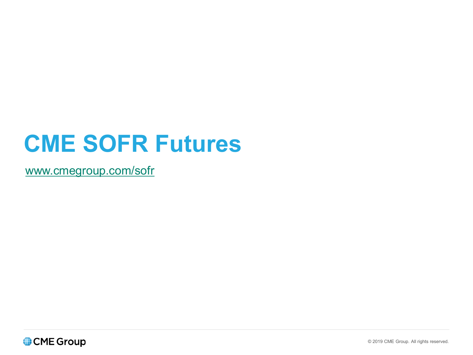# **CME SOFR Futures**

[www.cmegroup.com/sofr](http://www.cmegroup.com/sofr)

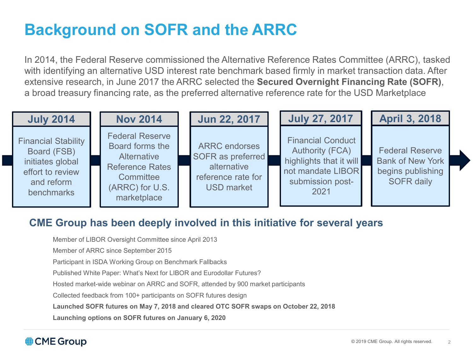# **Background on SOFR and the ARRC**

In 2014, the Federal Reserve commissioned the Alternative Reference Rates Committee (ARRC), tasked with identifying an alternative USD interest rate benchmark based firmly in market transaction data. After extensive research, in June 2017 the ARRC selected the **Secured Overnight Financing Rate (SOFR)**, a broad treasury financing rate, as the preferred alternative reference rate for the USD Marketplace

| <b>July 2014</b>                                                                                              | <b>Nov 2014</b>                                                                                                                   | Jun 22, 2017                                                                                        | <b>July 27, 2017</b>                                                                                                           | <b>April 3, 2018</b>                                                                        |
|---------------------------------------------------------------------------------------------------------------|-----------------------------------------------------------------------------------------------------------------------------------|-----------------------------------------------------------------------------------------------------|--------------------------------------------------------------------------------------------------------------------------------|---------------------------------------------------------------------------------------------|
| <b>Financial Stability</b><br>Board (FSB)<br>initiates global<br>effort to review<br>and reform<br>benchmarks | <b>Federal Reserve</b><br>Board forms the<br>Alternative<br><b>Reference Rates</b><br>Committee<br>(ARRC) for U.S.<br>marketplace | <b>ARRC</b> endorses<br>SOFR as preferred<br>alternative<br>reference rate for<br><b>USD market</b> | <b>Financial Conduct</b><br><b>Authority (FCA)</b><br>highlights that it will<br>not mandate LIBOR<br>submission post-<br>2021 | <b>Federal Reserve</b><br><b>Bank of New York</b><br>begins publishing<br><b>SOFR daily</b> |

#### **CME Group has been deeply involved in this initiative for several years**

Member of LIBOR Oversight Committee since April 2013

Member of ARRC since September 2015

Participant in ISDA Working Group on Benchmark Fallbacks

Published White Paper: What's Next for LIBOR and Eurodollar Futures?

Hosted market-wide webinar on ARRC and SOFR, attended by 900 market participants

Collected feedback from 100+ participants on SOFR futures design

**Launched SOFR futures on May 7, 2018 and cleared OTC SOFR swaps on October 22, 2018**

**Launching options on SOFR futures on January 6, 2020**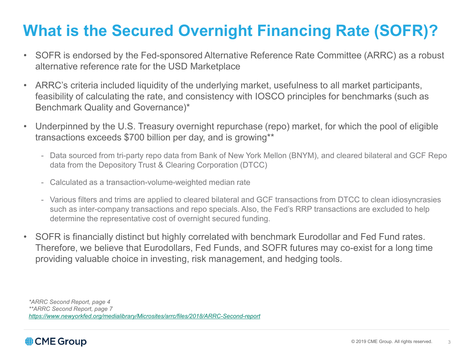# **What is the Secured Overnight Financing Rate (SOFR)?**

- SOFR is endorsed by the Fed-sponsored Alternative Reference Rate Committee (ARRC) as a robust alternative reference rate for the USD Marketplace
- ARRC's criteria included liquidity of the underlying market, usefulness to all market participants, feasibility of calculating the rate, and consistency with IOSCO principles for benchmarks (such as Benchmark Quality and Governance)\*
- Underpinned by the U.S. Treasury overnight repurchase (repo) market, for which the pool of eligible transactions exceeds \$700 billion per day, and is growing\*\*
	- Data sourced from tri-party repo data from Bank of New York Mellon (BNYM), and cleared bilateral and GCF Repo data from the Depository Trust & Clearing Corporation (DTCC)
	- Calculated as a transaction-volume-weighted median rate
	- Various filters and trims are applied to cleared bilateral and GCF transactions from DTCC to clean idiosyncrasies such as inter-company transactions and repo specials. Also, the Fed's RRP transactions are excluded to help determine the representative cost of overnight secured funding.
- SOFR is financially distinct but highly correlated with benchmark Eurodollar and Fed Fund rates. Therefore, we believe that Eurodollars, Fed Funds, and SOFR futures may co-exist for a long time providing valuable choice in investing, risk management, and hedging tools.

*\*ARRC Second Report, page 4 \*\*ARRC Second Report, page 7 <https://www.newyorkfed.org/medialibrary/Microsites/arrc/files/2018/ARRC-Second-report>*

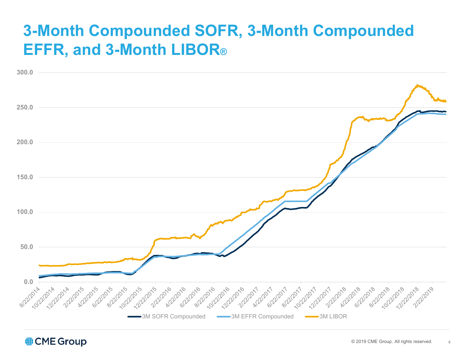# **3-Month Compounded SOFR, 3-Month Compounded EFFR, and 3-Month LIBOR®**



CME Group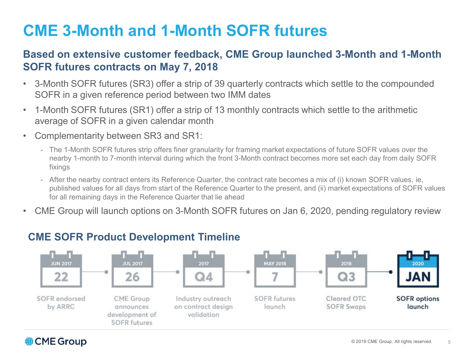# **CME 3-Month and 1-Month SOFR futures**

#### **Based on extensive customer feedback, CME Group launched 3-Month and 1-Month SOFR futures contracts on May 7, 2018**

- 3-Month SOFR futures (SR3) offer a strip of 39 quarterly contracts which settle to the compounded SOFR in a given reference period between two IMM dates
- 1-Month SOFR futures (SR1) offer a strip of 13 monthly contracts which settle to the arithmetic average of SOFR in a given calendar month
- Complementarity between SR3 and SR1:
	- The 1-Month SOFR futures strip offers finer granularity for framing market expectations of future SOFR values over the nearby 1-month to 7-month interval during which the front 3-Month contract becomes more set each day from daily SOFR fixings
	- After the nearby contract enters its Reference Quarter, the contract rate becomes a mix of (i) known SOFR values, ie, published values for all days from start of the Reference Quarter to the present, and (ii) market expectations of SOFR values for all remaining days in the Reference Quarter that lie ahead
- CME Group will launch options on 3-Month SOFR futures on Jan 6, 2020, pending regulatory review



#### **CME SOFR Product Development Timeline**

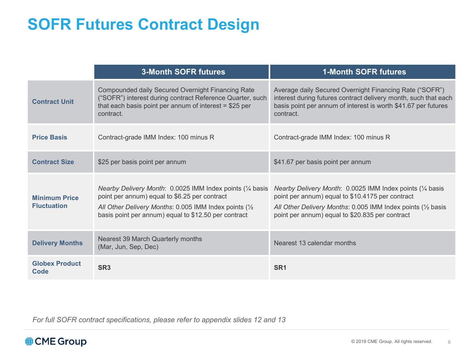# **SOFR Futures Contract Design**

|                                            | <b>3-Month SOFR futures</b>                                                                                                                                                                                                   | <b>1-Month SOFR futures</b>                                                                                                                                                                                                                 |
|--------------------------------------------|-------------------------------------------------------------------------------------------------------------------------------------------------------------------------------------------------------------------------------|---------------------------------------------------------------------------------------------------------------------------------------------------------------------------------------------------------------------------------------------|
| <b>Contract Unit</b>                       | Compounded daily Secured Overnight Financing Rate<br>("SOFR") interest during contract Reference Quarter, such<br>that each basis point per annum of interest $= $25$ per<br>contract.                                        | Average daily Secured Overnight Financing Rate ("SOFR")<br>interest during futures contract delivery month, such that each<br>basis point per annum of interest is worth \$41.67 per futures<br>contract.                                   |
| <b>Price Basis</b>                         | Contract-grade IMM Index: 100 minus R                                                                                                                                                                                         | Contract-grade IMM Index: 100 minus R                                                                                                                                                                                                       |
| <b>Contract Size</b>                       | \$25 per basis point per annum                                                                                                                                                                                                | \$41.67 per basis point per annum                                                                                                                                                                                                           |
| <b>Minimum Price</b><br><b>Fluctuation</b> | Nearby Delivery Month: 0.0025 IMM Index points (1/4 basis<br>point per annum) equal to \$6.25 per contract<br>All Other Delivery Months: 0.005 IMM Index points (1/2)<br>basis point per annum) equal to \$12.50 per contract | Nearby Delivery Month: 0.0025 IMM Index points (1/4 basis<br>point per annum) equal to \$10.4175 per contract<br>All Other Delivery Months: 0.005 IMM Index points $(\frac{1}{2})$ basis<br>point per annum) equal to \$20.835 per contract |
| <b>Delivery Months</b>                     | Nearest 39 March Quarterly months<br>(Mar, Jun, Sep, Dec)                                                                                                                                                                     | Nearest 13 calendar months                                                                                                                                                                                                                  |
| <b>Globex Product</b><br>Code              | SR <sub>3</sub>                                                                                                                                                                                                               | SR <sub>1</sub>                                                                                                                                                                                                                             |

*For full SOFR contract specifications, please refer to appendix slides 12 and 13*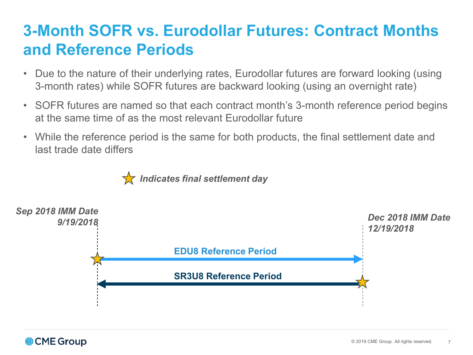# **3-Month SOFR vs. Eurodollar Futures: Contract Months and Reference Periods**

- Due to the nature of their underlying rates, Eurodollar futures are forward looking (using 3-month rates) while SOFR futures are backward looking (using an overnight rate)
- SOFR futures are named so that each contract month's 3-month reference period begins at the same time of as the most relevant Eurodollar future
- While the reference period is the same for both products, the final settlement date and last trade date differs



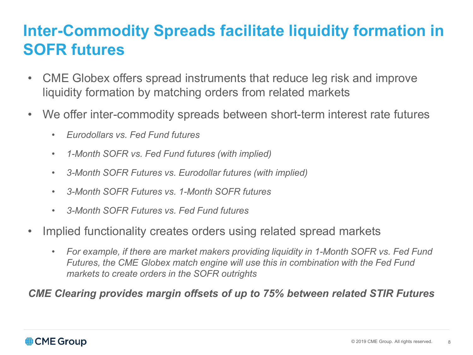# **Inter-Commodity Spreads facilitate liquidity formation in SOFR futures**

- CME Globex offers spread instruments that reduce leg risk and improve liquidity formation by matching orders from related markets
- We offer inter-commodity spreads between short-term interest rate futures
	- *Eurodollars vs. Fed Fund futures*
	- *1-Month SOFR vs. Fed Fund futures (with implied)*
	- *3-Month SOFR Futures vs. Eurodollar futures (with implied)*
	- *3-Month SOFR Futures vs. 1-Month SOFR futures*
	- *3-Month SOFR Futures vs. Fed Fund futures*
- Implied functionality creates orders using related spread markets
	- *For example, if there are market makers providing liquidity in 1-Month SOFR vs. Fed Fund Futures, the CME Globex match engine will use this in combination with the Fed Fund markets to create orders in the SOFR outrights*

#### *CME Clearing provides margin offsets of up to 75% between related STIR Futures*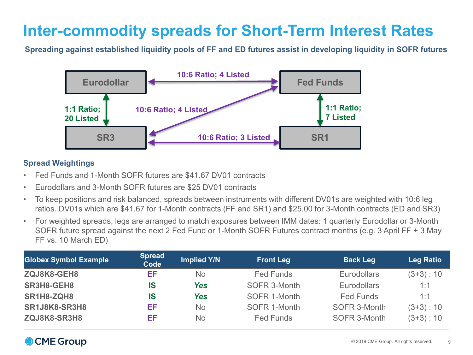## **Inter-commodity spreads for Short-Term Interest Rates**

**Spreading against established liquidity pools of FF and ED futures assist in developing liquidity in SOFR futures** 



#### **Spread Weightings**

- Fed Funds and 1-Month SOFR futures are \$41.67 DV01 contracts
- Eurodollars and 3-Month SOFR futures are \$25 DV01 contracts
- To keep positions and risk balanced, spreads between instruments with different DV01s are weighted with 10:6 leg ratios. DV01s which are \$41.67 for 1-Month contracts (FF and SR1) and \$25.00 for 3-Month contracts (ED and SR3)
- For weighted spreads, legs are arranged to match exposures between IMM dates: 1 quarterly Eurodollar or 3-Month SOFR future spread against the next 2 Fed Fund or 1-Month SOFR Futures contract months (e.g. 3 April FF + 3 May FF vs. 10 March ED)

| <b>Globex Symbol Example</b> | <b>Spread</b><br>Code | <b>Implied Y/N</b> | <b>Front Leg</b> | <b>Back Leg</b>    | <b>Leg Ratio</b> |
|------------------------------|-----------------------|--------------------|------------------|--------------------|------------------|
| ZQJ8K8-GEH8                  | EF                    | No.                | <b>Fed Funds</b> | <b>Eurodollars</b> | $(3+3): 10$      |
| SR3H8-GEH8                   | <b>IS</b>             | Yes                | SOFR 3-Month     | <b>Eurodollars</b> | 1:1              |
| SR1H8-ZQH8                   | IS                    | Yes                | SOFR 1-Month     | <b>Fed Funds</b>   | 1:1              |
| <b>SR1J8K8-SR3H8</b>         | EF                    | No.                | SOFR 1-Month     | SOFR 3-Month       | $(3+3): 10$      |
| ZQJ8K8-SR3H8                 | EF                    | No.                | <b>Fed Funds</b> | SOFR 3-Month       | $(3+3): 10$      |

#### **CME Group**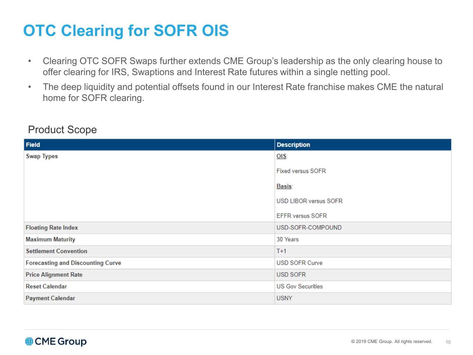# **OTC Clearing for SOFR OIS**

- Clearing OTC SOFR Swaps further extends CME Group's leadership as the only clearing house to offer clearing for IRS, Swaptions and Interest Rate futures within a single netting pool.
- The deep liquidity and potential offsets found in our Interest Rate franchise makes CME the natural home for SOFR clearing.

| <b>Field</b>                             | <b>Description</b>           |
|------------------------------------------|------------------------------|
| <b>Swap Types</b>                        | O(S)                         |
|                                          | <b>Fixed versus SOFR</b>     |
|                                          | <u>Basis:</u>                |
|                                          | <b>USD LIBOR versus SOFR</b> |
|                                          | <b>EFFR versus SOFR</b>      |
| <b>Floating Rate Index</b>               | USD-SOFR-COMPOUND            |
| <b>Maximum Maturity</b>                  | 30 Years                     |
| <b>Settlement Convention</b>             | $T+1$                        |
| <b>Forecasting and Discounting Curve</b> | <b>USD SOFR Curve</b>        |
| <b>Price Alignment Rate</b>              | USD SOFR                     |
| <b>Reset Calendar</b>                    | <b>US Gov Securities</b>     |
| <b>Payment Calendar</b>                  | <b>USNY</b>                  |

#### Product Scope

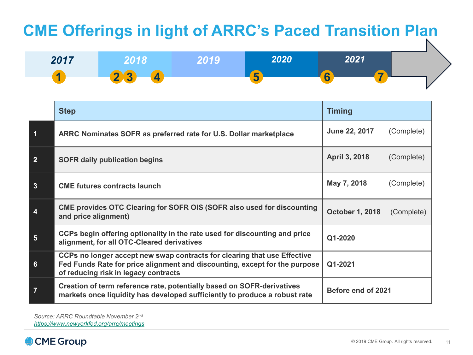# **CME Offerings in light of ARRC's Paced Transition Plan**



|                  | <b>Step</b>                                                                                                                                                                                    | <b>Timing</b>          |            |  |
|------------------|------------------------------------------------------------------------------------------------------------------------------------------------------------------------------------------------|------------------------|------------|--|
| 1                | ARRC Nominates SOFR as preferred rate for U.S. Dollar marketplace                                                                                                                              | June 22, 2017          | (Complete) |  |
| 2 <sup>1</sup>   | <b>SOFR daily publication begins</b>                                                                                                                                                           | April 3, 2018          | (Complete) |  |
| $\mathbf{3}$     | <b>CME futures contracts launch</b>                                                                                                                                                            | May 7, 2018            | (Complete) |  |
| 4                | CME provides OTC Clearing for SOFR OIS (SOFR also used for discounting<br>and price alignment)                                                                                                 | <b>October 1, 2018</b> | (Complete) |  |
| $5\phantom{.}$   | CCPs begin offering optionality in the rate used for discounting and price<br>alignment, for all OTC-Cleared derivatives                                                                       | Q1-2020                |            |  |
| $6 \overline{6}$ | CCPs no longer accept new swap contracts for clearing that use Effective<br>Fed Funds Rate for price alignment and discounting, except for the purpose<br>of reducing risk in legacy contracts | Q1-2021                |            |  |
| $\overline{7}$   | Creation of term reference rate, potentially based on SOFR-derivatives<br>markets once liquidity has developed sufficiently to produce a robust rate                                           | Before end of 2021     |            |  |

*Source: ARRC Roundtable November 2nd <https://www.newyorkfed.org/arrc/meetings>*

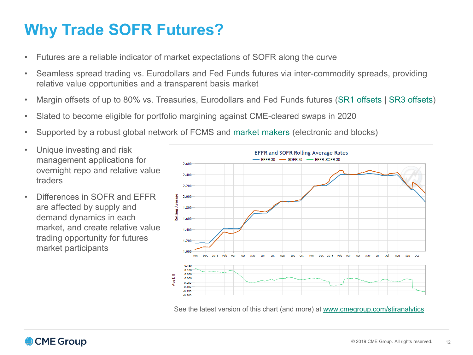# **Why Trade SOFR Futures?**

- Futures are a reliable indicator of market expectations of SOFR along the curve
- Seamless spread trading vs. Eurodollars and Fed Funds futures via inter-commodity spreads, providing relative value opportunities and a transparent basis market
- Margin offsets of up to 80% vs. Treasuries, Eurodollars and Fed Funds futures [\(SR1 offsets](https://www.cmegroup.com/trading/interest-rates/stir/one-month-sofr_performance_bonds.html?marginsTab=INTER#clearingCode=SR1§or=INTEREST+RATES&exchange=CME&pageNumber=1) | [SR3 offsets\)](https://www.cmegroup.com/trading/interest-rates/stir/three-month-sofr_performance_bonds.html?marginsTab=INTER#clearingCode=SR3§or=INTEREST+RATES&exchange=CME&pageNumber=1)
- Slated to become eligible for portfolio margining against CME-cleared swaps in 2020
- Supported by a robust global network of FCMS and [market makers](https://www.cmegroup.com/trading/interest-rates/secured-overnight-financing-rate-futures.html#blockMarketMakers) (electronic and blocks)
- Unique investing and risk management applications for overnight repo and relative value traders
- Differences in SOFR and EFFR are affected by supply and demand dynamics in each market, and create relative value trading opportunity for futures market participants



See the latest version of this chart (and more) at [www.cmegroup.com/stiranalytics](http://www.cmegroup.com/stiranalytics)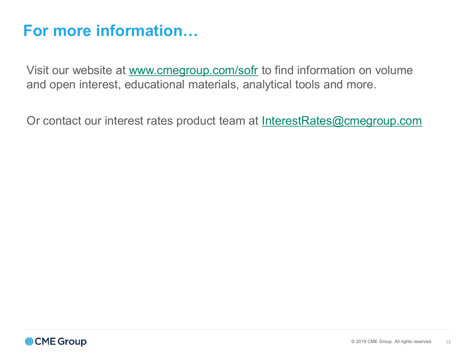### **For more information…**

Visit our website at [www.cmegroup.com/sofr](http://www.cmegroup.com/sofr) to find information on volume and open interest, educational materials, analytical tools and more.

Or contact our interest rates product team at [InterestRates@cmegroup.com](mailto:InterestRates@cmegroup.com)

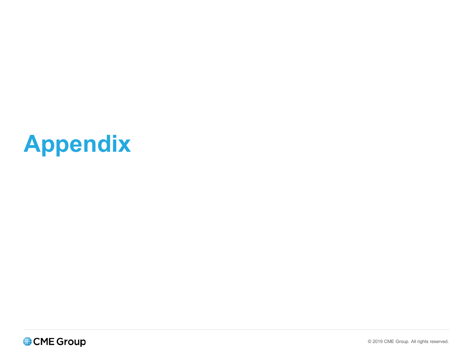# **Appendix**

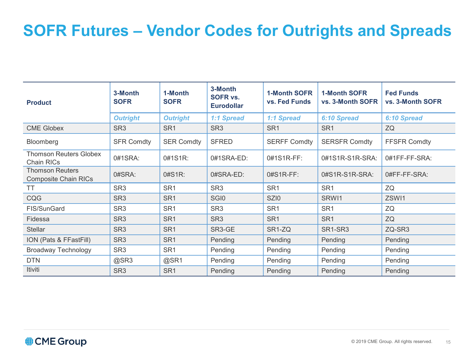# **SOFR Futures – Vendor Codes for Outrights and Spreads**

| <b>Product</b>                                        | 3-Month<br><b>SOFR</b> | 1-Month<br><b>SOFR</b> | 3-Month<br><b>SOFR vs.</b><br><b>Eurodollar</b> | <b>1-Month SOFR</b><br>vs. Fed Funds | <b>1-Month SOFR</b><br>vs. 3-Month SOFR | <b>Fed Funds</b><br>vs. 3-Month SOFR |
|-------------------------------------------------------|------------------------|------------------------|-------------------------------------------------|--------------------------------------|-----------------------------------------|--------------------------------------|
|                                                       | <b>Outright</b>        | <b>Outright</b>        | 1:1 Spread                                      | 1:1 Spread                           | 6:10 Spread                             | 6:10 Spread                          |
| <b>CME Globex</b>                                     | SR <sub>3</sub>        | SR <sub>1</sub>        | SR <sub>3</sub>                                 | SR <sub>1</sub>                      | SR <sub>1</sub>                         | ZQ                                   |
| Bloomberg                                             | <b>SFR Comdty</b>      | <b>SER Comdty</b>      | <b>SFRED</b>                                    | <b>SERFF Comdty</b>                  | <b>SERSFR Comdty</b>                    | <b>FFSFR Comdty</b>                  |
| <b>Thomson Reuters Globex</b><br>Chain RICs           | 0#1SRA:                | 0#1S1R:                | 0#1SRA-ED:                                      | 0#1S1R-FF:                           | 0#1S1R-S1R-SRA:                         | 0#1FF-FF-SRA:                        |
| <b>Thomson Reuters</b><br><b>Composite Chain RICs</b> | 0#SRA:                 | $0#S1R$ :              | 0#SRA-ED:                                       | $0#S1R-FF$ :                         | 0#S1R-S1R-SRA:                          | 0#FF-FF-SRA:                         |
| TT                                                    | SR <sub>3</sub>        | SR <sub>1</sub>        | SR <sub>3</sub>                                 | SR <sub>1</sub>                      | SR <sub>1</sub>                         | ZQ                                   |
| CQG                                                   | SR <sub>3</sub>        | SR <sub>1</sub>        | SGI <sub>0</sub>                                | SZI <sub>0</sub>                     | SRW11                                   | ZSWI1                                |
| FIS/SunGard                                           | SR <sub>3</sub>        | SR <sub>1</sub>        | SR <sub>3</sub>                                 | SR <sub>1</sub>                      | SR <sub>1</sub>                         | ZQ                                   |
| Fidessa                                               | SR <sub>3</sub>        | SR <sub>1</sub>        | SR <sub>3</sub>                                 | SR <sub>1</sub>                      | SR <sub>1</sub>                         | ZQ                                   |
| <b>Stellar</b>                                        | SR <sub>3</sub>        | SR <sub>1</sub>        | SR3-GE                                          | SR <sub>1</sub> -ZQ                  | SR <sub>1</sub> -SR <sub>3</sub>        | ZQ-SR3                               |
| ION (Pats & FFastFill)                                | SR <sub>3</sub>        | SR <sub>1</sub>        | Pending                                         | Pending                              | Pending                                 | Pending                              |
| <b>Broadway Technology</b>                            | SR <sub>3</sub>        | SR <sub>1</sub>        | Pending                                         | Pending                              | Pending                                 | Pending                              |
| <b>DTN</b>                                            | @SR3                   | @SR1                   | Pending                                         | Pending                              | Pending                                 | Pending                              |
| Itiviti                                               | SR <sub>3</sub>        | SR <sub>1</sub>        | Pending                                         | Pending                              | Pending                                 | Pending                              |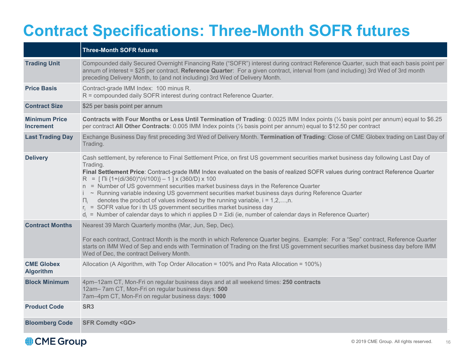# **Contract Specifications: Three-Month SOFR futures**

|                                          | <b>Three-Month SOFR futures</b>                                                                                                                                                                                                                                                                                                                                                                                                                                                                                                                                                                                                                                                                                                                                                                                                                                                                                                       |
|------------------------------------------|---------------------------------------------------------------------------------------------------------------------------------------------------------------------------------------------------------------------------------------------------------------------------------------------------------------------------------------------------------------------------------------------------------------------------------------------------------------------------------------------------------------------------------------------------------------------------------------------------------------------------------------------------------------------------------------------------------------------------------------------------------------------------------------------------------------------------------------------------------------------------------------------------------------------------------------|
| <b>Trading Unit</b>                      | Compounded daily Secured Overnight Financing Rate ("SOFR") interest during contract Reference Quarter, such that each basis point per<br>annum of interest = \$25 per contract. Reference Quarter: For a given contract, interval from (and including) 3rd Wed of 3rd month<br>preceding Delivery Month, to (and not including) 3rd Wed of Delivery Month.                                                                                                                                                                                                                                                                                                                                                                                                                                                                                                                                                                            |
| <b>Price Basis</b>                       | Contract-grade IMM Index: 100 minus R.<br>R = compounded daily SOFR interest during contract Reference Quarter.                                                                                                                                                                                                                                                                                                                                                                                                                                                                                                                                                                                                                                                                                                                                                                                                                       |
| <b>Contract Size</b>                     | \$25 per basis point per annum                                                                                                                                                                                                                                                                                                                                                                                                                                                                                                                                                                                                                                                                                                                                                                                                                                                                                                        |
| <b>Minimum Price</b><br><b>Increment</b> | Contracts with Four Months or Less Until Termination of Trading: 0.0025 IMM Index points (1/4 basis point per annum) equal to \$6.25<br>per contract All Other Contracts: 0.005 IMM Index points (1/2 basis point per annum) equal to \$12.50 per contract                                                                                                                                                                                                                                                                                                                                                                                                                                                                                                                                                                                                                                                                            |
| <b>Last Trading Day</b>                  | Exchange Business Day first preceding 3rd Wed of Delivery Month. Termination of Trading: Close of CME Globex trading on Last Day of<br>Trading.                                                                                                                                                                                                                                                                                                                                                                                                                                                                                                                                                                                                                                                                                                                                                                                       |
| <b>Delivery</b>                          | Cash settlement, by reference to Final Settlement Price, on first US government securities market business day following Last Day of<br>Trading.<br>Final Settlement Price: Contract-grade IMM Index evaluated on the basis of realized SOFR values during contract Reference Quarter<br>R = $\left[\right]$ $\left[\right]$ $\left\{1 + \left(\frac{di}{360}\right)^*(ri/100)\right\} - 1 \left[\right]$ x (360/D) x 100<br>n = Number of US government securities market business days in the Reference Quarter<br>~ Running variable indexing US government securities market business days during Reference Quarter<br>denotes the product of values indexed by the running variable, $i = 1, 2, \ldots, n$ .<br>$\prod_i$<br>$r_i$ = SOFR value for i th US government securities market business day<br>$d_i$ = Number of calendar days to which ri applies D = $\Sigma$ idi (ie, number of calendar days in Reference Quarter) |
| <b>Contract Months</b>                   | Nearest 39 March Quarterly months (Mar, Jun, Sep, Dec).<br>For each contract, Contract Month is the month in which Reference Quarter begins. Example: For a "Sep" contract, Reference Quarter<br>starts on IMM Wed of Sep and ends with Termination of Trading on the first US government securities market business day before IMM<br>Wed of Dec, the contract Delivery Month.                                                                                                                                                                                                                                                                                                                                                                                                                                                                                                                                                       |
| <b>CME Globex</b><br><b>Algorithm</b>    | Allocation (A Algorithm, with Top Order Allocation = 100% and Pro Rata Allocation = 100%)                                                                                                                                                                                                                                                                                                                                                                                                                                                                                                                                                                                                                                                                                                                                                                                                                                             |
| <b>Block Minimum</b>                     | 4pm-12am CT, Mon-Fri on regular business days and at all weekend times: 250 contracts<br>12am-7am CT, Mon-Fri on regular business days: 500<br>7am-4pm CT, Mon-Fri on regular business days: 1000                                                                                                                                                                                                                                                                                                                                                                                                                                                                                                                                                                                                                                                                                                                                     |
| <b>Product Code</b>                      | SR <sub>3</sub>                                                                                                                                                                                                                                                                                                                                                                                                                                                                                                                                                                                                                                                                                                                                                                                                                                                                                                                       |
| <b>Bloomberg Code</b>                    | <b>SFR Comdty <go></go></b>                                                                                                                                                                                                                                                                                                                                                                                                                                                                                                                                                                                                                                                                                                                                                                                                                                                                                                           |

#### CME Group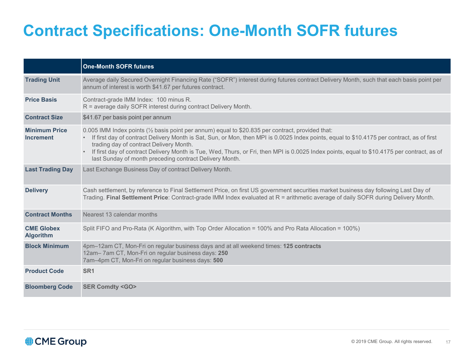# **Contract Specifications: One-Month SOFR futures**

|                                          | <b>One-Month SOFR futures</b>                                                                                                                                                                                                                                                                                                                                                                                                                                                                        |
|------------------------------------------|------------------------------------------------------------------------------------------------------------------------------------------------------------------------------------------------------------------------------------------------------------------------------------------------------------------------------------------------------------------------------------------------------------------------------------------------------------------------------------------------------|
| <b>Trading Unit</b>                      | Average daily Secured Overnight Financing Rate ("SOFR") interest during futures contract Delivery Month, such that each basis point per<br>annum of interest is worth \$41.67 per futures contract.                                                                                                                                                                                                                                                                                                  |
| <b>Price Basis</b>                       | Contract-grade IMM Index: 100 minus R.<br>R = average daily SOFR interest during contract Delivery Month.                                                                                                                                                                                                                                                                                                                                                                                            |
| <b>Contract Size</b>                     | \$41.67 per basis point per annum                                                                                                                                                                                                                                                                                                                                                                                                                                                                    |
| <b>Minimum Price</b><br><b>Increment</b> | 0.005 IMM Index points (1/2 basis point per annum) equal to \$20.835 per contract, provided that:<br>If first day of contract Delivery Month is Sat, Sun, or Mon, then MPI is 0.0025 Index points, equal to \$10.4175 per contract, as of first<br>trading day of contract Delivery Month.<br>If first day of contract Delivery Month is Tue, Wed, Thurs, or Fri, then MPI is 0.0025 Index points, equal to \$10.4175 per contract, as of<br>last Sunday of month preceding contract Delivery Month. |
| <b>Last Trading Day</b>                  | Last Exchange Business Day of contract Delivery Month.                                                                                                                                                                                                                                                                                                                                                                                                                                               |
| <b>Delivery</b>                          | Cash settlement, by reference to Final Settlement Price, on first US government securities market business day following Last Day of<br>Trading. Final Settlement Price: Contract-grade IMM Index evaluated at R = arithmetic average of daily SOFR during Delivery Month.                                                                                                                                                                                                                           |
| <b>Contract Months</b>                   | Nearest 13 calendar months                                                                                                                                                                                                                                                                                                                                                                                                                                                                           |
| <b>CME Globex</b><br><b>Algorithm</b>    | Split FIFO and Pro-Rata (K Algorithm, with Top Order Allocation = 100% and Pro Rata Allocation = 100%)                                                                                                                                                                                                                                                                                                                                                                                               |
| <b>Block Minimum</b>                     | 4pm-12am CT, Mon-Fri on regular business days and at all weekend times: 125 contracts<br>12am-7am CT, Mon-Fri on regular business days: 250<br>7am-4pm CT, Mon-Fri on regular business days: 500                                                                                                                                                                                                                                                                                                     |
| <b>Product Code</b>                      | SR <sub>1</sub>                                                                                                                                                                                                                                                                                                                                                                                                                                                                                      |
| <b>Bloomberg Code</b>                    | <b>SER Comdty <go></go></b>                                                                                                                                                                                                                                                                                                                                                                                                                                                                          |